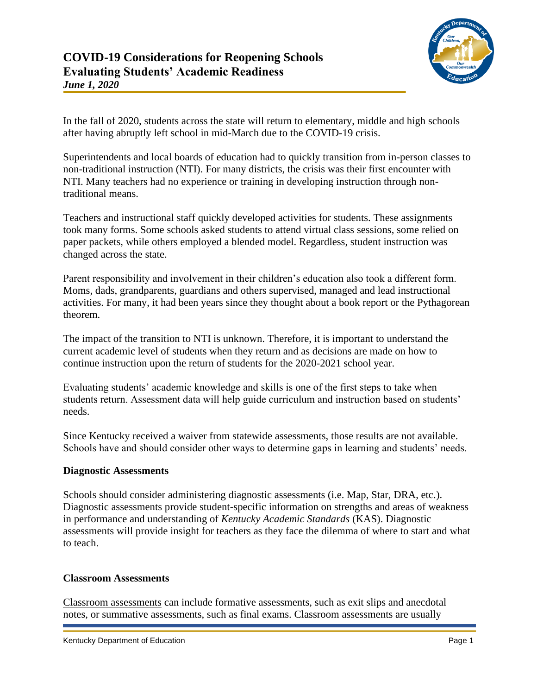

In the fall of 2020, students across the state will return to elementary, middle and high schools after having abruptly left school in mid-March due to the COVID-19 crisis.

Superintendents and local boards of education had to quickly transition from in-person classes to non-traditional instruction (NTI). For many districts, the crisis was their first encounter with NTI. Many teachers had no experience or training in developing instruction through nontraditional means.

Teachers and instructional staff quickly developed activities for students. These assignments took many forms. Some schools asked students to attend virtual class sessions, some relied on paper packets, while others employed a blended model. Regardless, student instruction was changed across the state.

Parent responsibility and involvement in their children's education also took a different form. Moms, dads, grandparents, guardians and others supervised, managed and lead instructional activities. For many, it had been years since they thought about a book report or the Pythagorean theorem.

The impact of the transition to NTI is unknown. Therefore, it is important to understand the current academic level of students when they return and as decisions are made on how to continue instruction upon the return of students for the 2020-2021 school year.

Evaluating students' academic knowledge and skills is one of the first steps to take when students return. Assessment data will help guide curriculum and instruction based on students' needs.

Since Kentucky received a waiver from statewide assessments, those results are not available. Schools have and should consider other ways to determine gaps in learning and students' needs.

# **Diagnostic Assessments**

Schools should consider administering diagnostic assessments (i.e. [Map,](https://www.nwea.org/map-growth/) [Star,](https://www.renaissance.com/products/star-assessments/) [DRA,](https://www.pearsonassessments.com/store/usassessments/en/Store/Professional-Assessments/Academic-Learning/Developmental-Reading-Assessment-%7C-Third-Edition/p/100001913.html) etc.). Diagnostic assessments provide student-specific information on strengths and areas of weakness in performance and understanding of *[Kentucky Academic Standards](https://kystandards.org/)* (KAS). Diagnostic assessments will provide insight for teachers as they face the dilemma of where to start and what to teach.

## **Classroom Assessments**

[Classroom assessments](http://www.ascd.org/publications/educational-leadership/feb03/vol60/num05/How-Classroom-Assessments-Improve-Learning.aspx) can include formative assessments, such as exit slips and anecdotal notes, or summative assessments, such as final exams. Classroom assessments are usually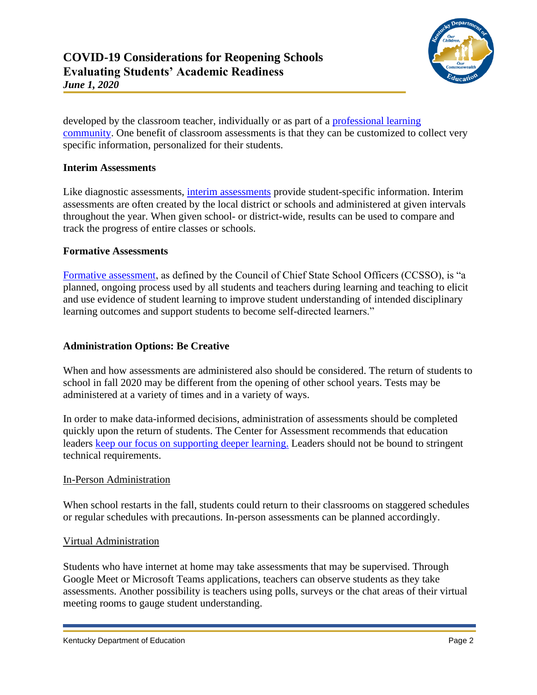

developed by the classroom teacher, individually or as part of a [professional learning](https://education.ky.gov/school/stratclsgap/Pages/plc.aspx)  [community.](https://education.ky.gov/school/stratclsgap/Pages/plc.aspx) One benefit of classroom assessments is that they can be customized to collect very specific information, personalized for their students.

## **Interim Assessments**

Like diagnostic assessments, [interim assessments](https://www.nciea.org/blog/formative-assessment/interim-assessment-didnt-you-mean-formative-assessment) provide student-specific information. Interim assessments are often created by the local district or schools and administered at given intervals throughout the year. When given school- or district-wide, results can be used to compare and track the progress of entire classes or schools.

#### **Formative Assessments**

[Formative assessment,](https://ccsso.org/sites/default/files/2018-06/Revising%20the%20Definition%20of%20Formative%20Assessment.pdf) as defined by the Council of Chief State School Officers (CCSSO), is "a planned, ongoing process used by all students and teachers during learning and teaching to elicit and use evidence of student learning to improve student understanding of intended disciplinary learning outcomes and support students to become self-directed learners."

#### **Administration Options: Be Creative**

When and how assessments are administered also should be considered. The return of students to school in fall 2020 may be different from the opening of other school years. Tests may be administered at a variety of times and in a variety of ways.

In order to make data-informed decisions, administration of assessments should be completed quickly upon the return of students. The Center for Assessment recommends that education leaders [keep our focus on supporting deeper learning.](https://www.nciea.org/blog/school-disruption/remote-learning-provides-opportunity-rethink-assessment-and-learning) Leaders should not be bound to stringent technical requirements.

#### In-Person Administration

When school restarts in the fall, students could return to their classrooms on staggered schedules or regular schedules with precautions. In-person assessments can be planned accordingly.

#### Virtual Administration

Students who have internet at home may take assessments that may be supervised. Through Google Meet or Microsoft Teams applications, teachers can observe students as they take assessments. Another possibility is teachers using polls, surveys or the chat areas of their virtual meeting rooms to gauge student understanding.